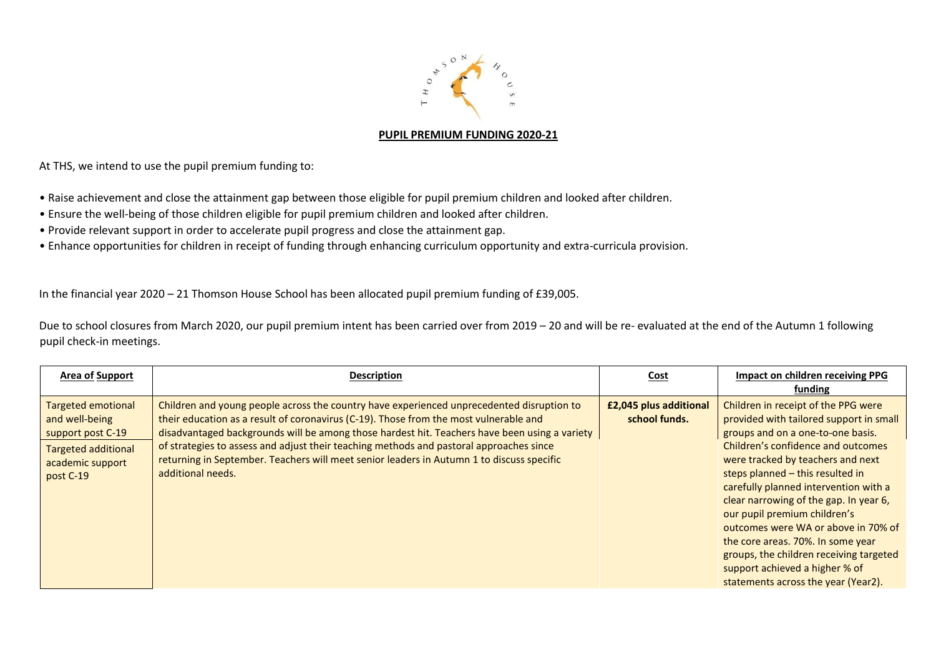

## **PUPIL PREMIUM FUNDING 2020-21**

At THS, we intend to use the pupil premium funding to:

- Raise achievement and close the attainment gap between those eligible for pupil premium children and looked after children.
- Ensure the well-being of those children eligible for pupil premium children and looked after children.
- Provide relevant support in order to accelerate pupil progress and close the attainment gap.
- Enhance opportunities for children in receipt of funding through enhancing curriculum opportunity and extra-curricula provision.

In the financial year 2020 – 21 Thomson House School has been allocated pupil premium funding of £39,005.

Due to school closures from March 2020, our pupil premium intent has been carried over from 2019 – 20 and will be re- evaluated at the end of the Autumn 1 following pupil check-in meetings.

| Area of Support                                                                                                                 | <b>Description</b>                                                                                                                                                                                                                                                                                                                                                                                                                                                                               | <b>Cost</b>                             | Impact on children receiving PPG<br>funding                                                                                                                                                                                                                                                                                                                                                                                                                                                                                                           |
|---------------------------------------------------------------------------------------------------------------------------------|--------------------------------------------------------------------------------------------------------------------------------------------------------------------------------------------------------------------------------------------------------------------------------------------------------------------------------------------------------------------------------------------------------------------------------------------------------------------------------------------------|-----------------------------------------|-------------------------------------------------------------------------------------------------------------------------------------------------------------------------------------------------------------------------------------------------------------------------------------------------------------------------------------------------------------------------------------------------------------------------------------------------------------------------------------------------------------------------------------------------------|
| <b>Targeted emotional</b><br>and well-being<br>support post C-19<br><b>Targeted additional</b><br>academic support<br>post C-19 | Children and young people across the country have experienced unprecedented disruption to<br>their education as a result of coronavirus (C-19). Those from the most vulnerable and<br>disadvantaged backgrounds will be among those hardest hit. Teachers have been using a variety<br>of strategies to assess and adjust their teaching methods and pastoral approaches since<br>returning in September. Teachers will meet senior leaders in Autumn 1 to discuss specific<br>additional needs. | £2,045 plus additional<br>school funds. | Children in receipt of the PPG were<br>provided with tailored support in small<br>groups and on a one-to-one basis.<br>Children's confidence and outcomes<br>were tracked by teachers and next<br>steps planned - this resulted in<br>carefully planned intervention with a<br>clear narrowing of the gap. In year 6,<br>our pupil premium children's<br>outcomes were WA or above in 70% of<br>the core areas. 70%. In some year<br>groups, the children receiving targeted<br>support achieved a higher % of<br>statements across the year (Year2). |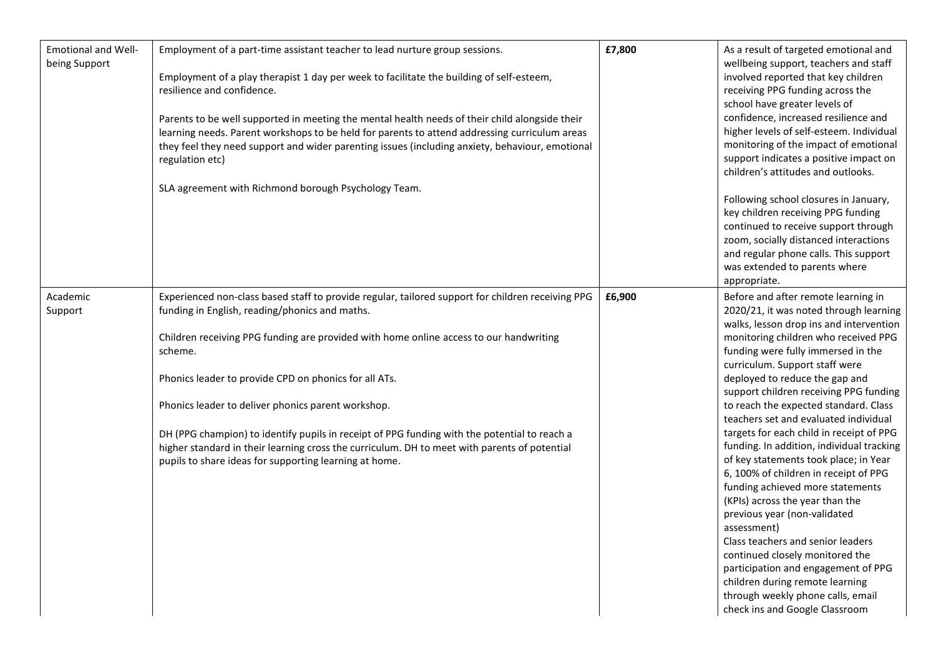| <b>Emotional and Well-</b><br>being Support | Employment of a part-time assistant teacher to lead nurture group sessions.<br>Employment of a play therapist 1 day per week to facilitate the building of self-esteem,<br>resilience and confidence.<br>Parents to be well supported in meeting the mental health needs of their child alongside their<br>learning needs. Parent workshops to be held for parents to attend addressing curriculum areas<br>they feel they need support and wider parenting issues (including anxiety, behaviour, emotional<br>regulation etc)<br>SLA agreement with Richmond borough Psychology Team.                                            | £7,800 | As a result of targeted emotional and<br>wellbeing support, teachers and staff<br>involved reported that key children<br>receiving PPG funding across the<br>school have greater levels of<br>confidence, increased resilience and<br>higher levels of self-esteem. Individual<br>monitoring of the impact of emotional<br>support indicates a positive impact on<br>children's attitudes and outlooks.<br>Following school closures in January,<br>key children receiving PPG funding<br>continued to receive support through<br>zoom, socially distanced interactions<br>and regular phone calls. This support                                                                                                                                                                                                                                                                                                                 |
|---------------------------------------------|-----------------------------------------------------------------------------------------------------------------------------------------------------------------------------------------------------------------------------------------------------------------------------------------------------------------------------------------------------------------------------------------------------------------------------------------------------------------------------------------------------------------------------------------------------------------------------------------------------------------------------------|--------|----------------------------------------------------------------------------------------------------------------------------------------------------------------------------------------------------------------------------------------------------------------------------------------------------------------------------------------------------------------------------------------------------------------------------------------------------------------------------------------------------------------------------------------------------------------------------------------------------------------------------------------------------------------------------------------------------------------------------------------------------------------------------------------------------------------------------------------------------------------------------------------------------------------------------------|
|                                             |                                                                                                                                                                                                                                                                                                                                                                                                                                                                                                                                                                                                                                   |        | was extended to parents where<br>appropriate.                                                                                                                                                                                                                                                                                                                                                                                                                                                                                                                                                                                                                                                                                                                                                                                                                                                                                    |
| Academic<br>Support                         | Experienced non-class based staff to provide regular, tailored support for children receiving PPG<br>funding in English, reading/phonics and maths.<br>Children receiving PPG funding are provided with home online access to our handwriting<br>scheme.<br>Phonics leader to provide CPD on phonics for all ATs.<br>Phonics leader to deliver phonics parent workshop.<br>DH (PPG champion) to identify pupils in receipt of PPG funding with the potential to reach a<br>higher standard in their learning cross the curriculum. DH to meet with parents of potential<br>pupils to share ideas for supporting learning at home. | £6,900 | Before and after remote learning in<br>2020/21, it was noted through learning<br>walks, lesson drop ins and intervention<br>monitoring children who received PPG<br>funding were fully immersed in the<br>curriculum. Support staff were<br>deployed to reduce the gap and<br>support children receiving PPG funding<br>to reach the expected standard. Class<br>teachers set and evaluated individual<br>targets for each child in receipt of PPG<br>funding. In addition, individual tracking<br>of key statements took place; in Year<br>6, 100% of children in receipt of PPG<br>funding achieved more statements<br>(KPIs) across the year than the<br>previous year (non-validated<br>assessment)<br>Class teachers and senior leaders<br>continued closely monitored the<br>participation and engagement of PPG<br>children during remote learning<br>through weekly phone calls, email<br>check ins and Google Classroom |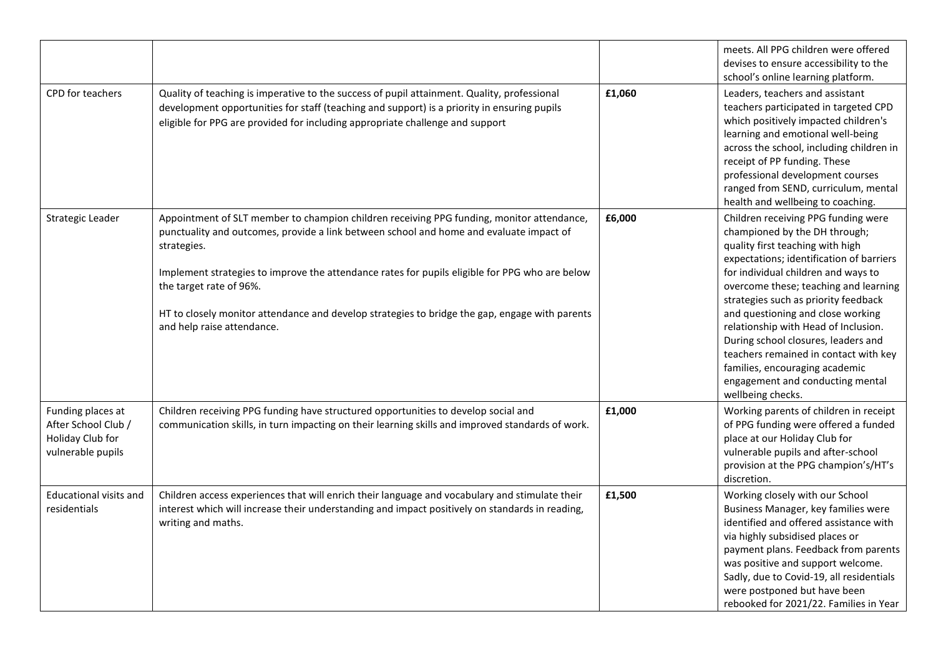|                                                                                   |                                                                                                                                                                                                                                                                                                                                                                                                                                                                  |        | meets. All PPG children were offered<br>devises to ensure accessibility to the<br>school's online learning platform.                                                                                                                                                                                                                                                                                                                                                                                                                 |
|-----------------------------------------------------------------------------------|------------------------------------------------------------------------------------------------------------------------------------------------------------------------------------------------------------------------------------------------------------------------------------------------------------------------------------------------------------------------------------------------------------------------------------------------------------------|--------|--------------------------------------------------------------------------------------------------------------------------------------------------------------------------------------------------------------------------------------------------------------------------------------------------------------------------------------------------------------------------------------------------------------------------------------------------------------------------------------------------------------------------------------|
| CPD for teachers                                                                  | Quality of teaching is imperative to the success of pupil attainment. Quality, professional<br>development opportunities for staff (teaching and support) is a priority in ensuring pupils<br>eligible for PPG are provided for including appropriate challenge and support                                                                                                                                                                                      | £1,060 | Leaders, teachers and assistant<br>teachers participated in targeted CPD<br>which positively impacted children's<br>learning and emotional well-being<br>across the school, including children in<br>receipt of PP funding. These<br>professional development courses<br>ranged from SEND, curriculum, mental<br>health and wellbeing to coaching.                                                                                                                                                                                   |
| Strategic Leader                                                                  | Appointment of SLT member to champion children receiving PPG funding, monitor attendance,<br>punctuality and outcomes, provide a link between school and home and evaluate impact of<br>strategies.<br>Implement strategies to improve the attendance rates for pupils eligible for PPG who are below<br>the target rate of 96%.<br>HT to closely monitor attendance and develop strategies to bridge the gap, engage with parents<br>and help raise attendance. | £6,000 | Children receiving PPG funding were<br>championed by the DH through;<br>quality first teaching with high<br>expectations; identification of barriers<br>for individual children and ways to<br>overcome these; teaching and learning<br>strategies such as priority feedback<br>and questioning and close working<br>relationship with Head of Inclusion.<br>During school closures, leaders and<br>teachers remained in contact with key<br>families, encouraging academic<br>engagement and conducting mental<br>wellbeing checks. |
| Funding places at<br>After School Club /<br>Holiday Club for<br>vulnerable pupils | Children receiving PPG funding have structured opportunities to develop social and<br>communication skills, in turn impacting on their learning skills and improved standards of work.                                                                                                                                                                                                                                                                           | £1,000 | Working parents of children in receipt<br>of PPG funding were offered a funded<br>place at our Holiday Club for<br>vulnerable pupils and after-school<br>provision at the PPG champion's/HT's<br>discretion.                                                                                                                                                                                                                                                                                                                         |
| <b>Educational visits and</b><br>residentials                                     | Children access experiences that will enrich their language and vocabulary and stimulate their<br>interest which will increase their understanding and impact positively on standards in reading,<br>writing and maths.                                                                                                                                                                                                                                          | £1,500 | Working closely with our School<br>Business Manager, key families were<br>identified and offered assistance with<br>via highly subsidised places or<br>payment plans. Feedback from parents<br>was positive and support welcome.<br>Sadly, due to Covid-19, all residentials<br>were postponed but have been<br>rebooked for 2021/22. Families in Year                                                                                                                                                                               |